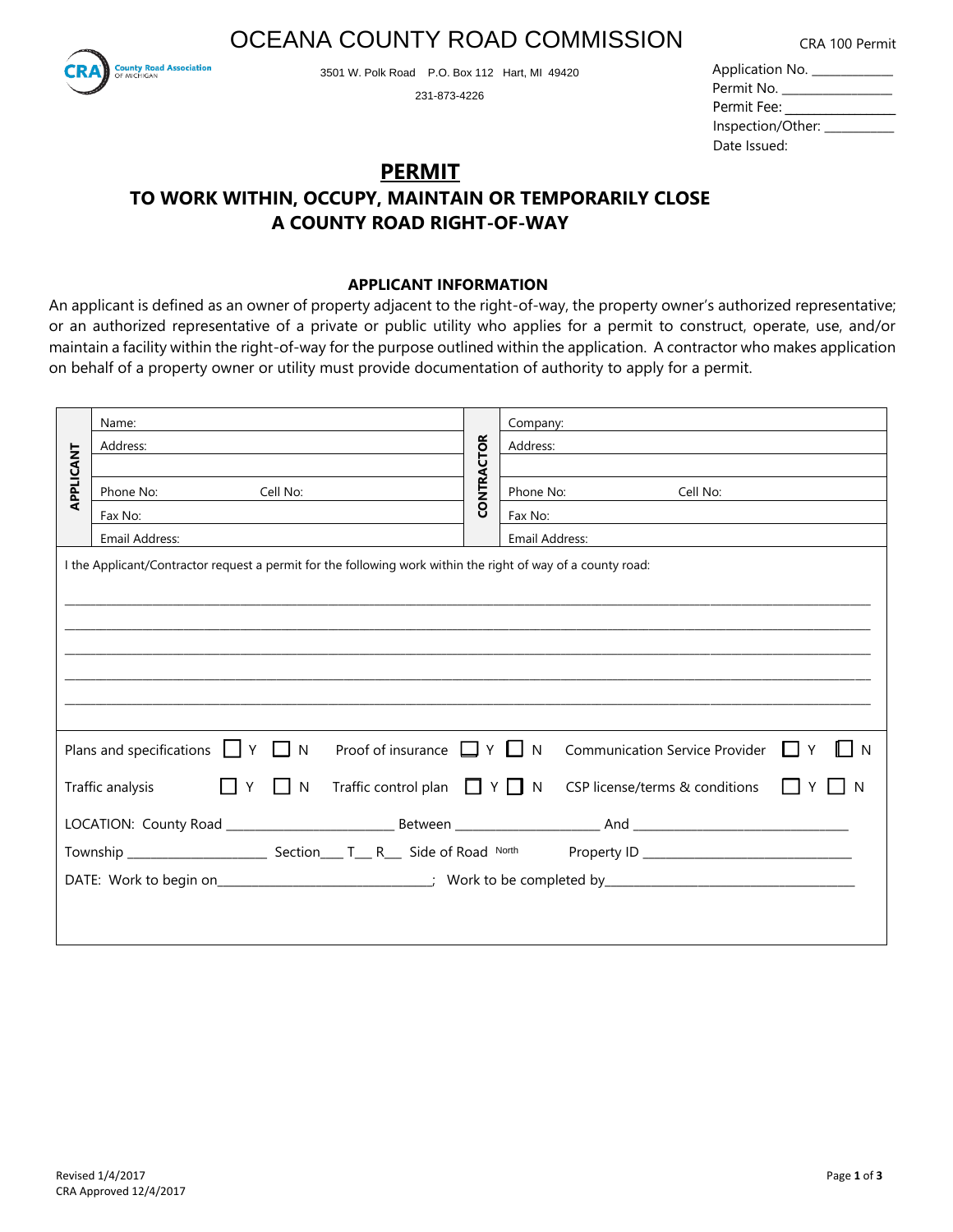OCEANA COUNTY ROAD COMMISSION



3501 W. Polk Road P.O. Box 112 Hart, MI 49420

231-873-4226

| CRA 100 Permit |  |
|----------------|--|
|----------------|--|

| Application No. ____________ |  |
|------------------------------|--|
| Permit No. _______           |  |
| Permit Fee:                  |  |
| Inspection/Other: ____       |  |
| Date Issued:                 |  |

## **PERMIT TO WORK WITHIN, OCCUPY, MAINTAIN OR TEMPORARILY CLOSE A COUNTY ROAD RIGHT-OF-WAY**

### **APPLICANT INFORMATION**

An applicant is defined as an owner of property adjacent to the right-of-way, the property owner's authorized representative; or an authorized representative of a private or public utility who applies for a permit to construct, operate, use, and/or maintain a facility within the right-of-way for the purpose outlined within the application. A contractor who makes application on behalf of a property owner or utility must provide documentation of authority to apply for a permit.

|           | Name:                                                                                                        |                   | Company:       |                                    |    |
|-----------|--------------------------------------------------------------------------------------------------------------|-------------------|----------------|------------------------------------|----|
|           | Address:                                                                                                     |                   | Address:       |                                    |    |
|           |                                                                                                              |                   |                |                                    |    |
| APPLICANT | Phone No: Cell No:                                                                                           | <b>CONTRACTOR</b> |                | Phone No:<br>Cell No:              |    |
|           | Fax No:                                                                                                      |                   | Fax No:        |                                    |    |
|           | Email Address:                                                                                               |                   | Email Address: |                                    |    |
|           |                                                                                                              |                   |                |                                    |    |
|           | I the Applicant/Contractor request a permit for the following work within the right of way of a county road: |                   |                |                                    |    |
|           |                                                                                                              |                   |                |                                    |    |
|           |                                                                                                              |                   |                |                                    |    |
|           |                                                                                                              |                   |                |                                    |    |
|           |                                                                                                              |                   |                |                                    |    |
|           |                                                                                                              |                   |                |                                    |    |
|           |                                                                                                              |                   |                |                                    |    |
|           |                                                                                                              |                   |                |                                    |    |
|           | Plans and specifications $\Box Y \Box N$<br>Proof of insurance $\Box Y \Box N$                               |                   |                | Communication Service Provider   Y | -N |
|           | Y<br>$\vert$ $\vert$ N<br>Traffic control plan $\Box Y \Box N$<br>Traffic analysis                           |                   |                | CSP license/terms & conditions     |    |
|           |                                                                                                              |                   |                |                                    |    |
|           |                                                                                                              |                   |                |                                    |    |
|           |                                                                                                              |                   |                |                                    |    |
|           |                                                                                                              |                   |                |                                    |    |
|           |                                                                                                              |                   |                |                                    |    |
|           |                                                                                                              |                   |                |                                    |    |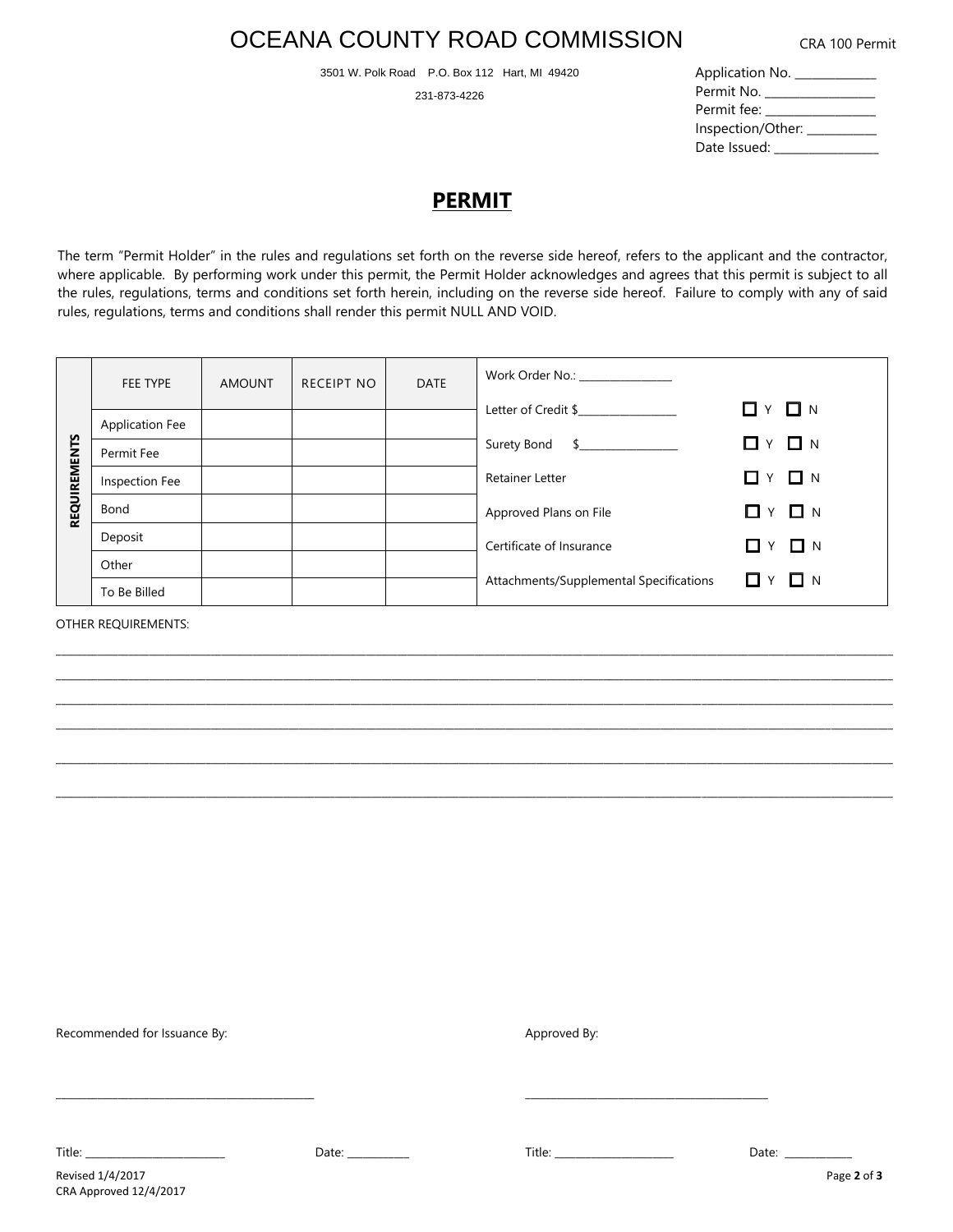# OCEANA COUNTY ROAD COMMISSION

3501 W. Polk Road P.O. Box 112 Hart, MI 49420

231-873-4226

|  |  | CRA 100 Permit |
|--|--|----------------|
|--|--|----------------|

| Application No.   |
|-------------------|
| Permit No.        |
| Permit fee: __    |
| Inspection/Other: |
| Date Issued:      |

## **PERMIT**

The term "Permit Holder" in the rules and regulations set forth on the reverse side hereof, refers to the applicant and the contractor, where applicable. By performing work under this permit, the Permit Holder acknowledges and agrees that this permit is subject to all the rules, regulations, terms and conditions set forth herein, including on the reverse side hereof. Failure to comply with any of said rules, regulations, terms and conditions shall render this permit NULL AND VOID.

| <b>REQUIREMENTS</b> | FEE TYPE               | <b>AMOUNT</b> | RECEIPT NO | <b>DATE</b> | Work Order No.: _______________         |                             |
|---------------------|------------------------|---------------|------------|-------------|-----------------------------------------|-----------------------------|
|                     |                        |               |            |             | Letter of Credit \$                     | $\Box$ $\vee$ $\Box$ $\vee$ |
|                     | <b>Application Fee</b> |               |            |             |                                         |                             |
|                     | Permit Fee             |               |            |             | Surety Bond<br>$\sim$                   | $\Box$ $\vee$ $\Box$ $\vee$ |
|                     | Inspection Fee         |               |            |             | <b>Retainer Letter</b>                  | Y □ N<br>П                  |
|                     | Bond                   |               |            |             | Approved Plans on File                  | $\Box$ $\vee$ $\Box$ $\vee$ |
|                     | Deposit                |               |            |             | Certificate of Insurance                | $\Box$ $\vee$ $\Box$ $\vee$ |
|                     | Other                  |               |            |             |                                         |                             |
|                     | To Be Billed           |               |            |             | Attachments/Supplemental Specifications | $\Box$ $\vee$ $\Box$ $\vee$ |

\_\_\_\_\_\_\_\_\_\_\_\_\_\_\_\_\_\_\_\_\_\_\_\_\_\_\_\_\_\_\_\_\_\_\_\_\_\_\_\_\_\_\_\_\_\_\_\_\_\_\_\_\_\_\_\_\_\_\_\_\_\_\_\_\_\_\_\_\_\_\_\_\_\_\_\_\_\_\_\_\_\_\_\_\_\_\_\_\_\_\_\_\_\_\_\_\_\_\_\_\_\_\_\_\_\_\_\_\_\_\_\_\_\_\_\_\_\_\_\_\_\_\_\_\_\_\_\_\_\_\_\_\_\_\_\_\_\_\_\_\_\_\_\_\_\_\_\_\_\_\_\_\_\_\_\_\_\_\_\_\_\_

\_\_\_\_\_\_\_\_\_\_\_\_\_\_\_\_\_\_\_\_\_\_\_\_\_\_\_\_\_\_\_\_\_\_\_\_\_\_\_\_\_\_\_\_\_\_\_\_\_\_\_\_\_\_\_\_\_\_\_\_\_\_\_\_\_\_\_\_\_\_\_\_\_\_\_\_\_\_\_\_\_\_\_\_\_\_\_\_\_\_\_\_\_\_\_\_\_\_\_\_\_\_\_\_\_\_\_\_\_\_\_\_\_\_\_\_\_\_\_\_\_\_\_\_\_\_\_\_\_\_\_\_\_\_\_\_\_\_\_\_\_\_\_\_\_\_\_\_\_\_\_\_\_\_\_\_\_\_\_\_\_\_  $\mathcal{L}_\mathcal{L} = \mathcal{L}_\mathcal{L} = \mathcal{L}_\mathcal{L} = \mathcal{L}_\mathcal{L} = \mathcal{L}_\mathcal{L} = \mathcal{L}_\mathcal{L} = \mathcal{L}_\mathcal{L} = \mathcal{L}_\mathcal{L} = \mathcal{L}_\mathcal{L} = \mathcal{L}_\mathcal{L} = \mathcal{L}_\mathcal{L} = \mathcal{L}_\mathcal{L} = \mathcal{L}_\mathcal{L} = \mathcal{L}_\mathcal{L} = \mathcal{L}_\mathcal{L} = \mathcal{L}_\mathcal{L} = \mathcal{L}_\mathcal{L}$ 

\_\_\_\_\_\_\_\_\_\_\_\_\_\_\_\_\_\_\_\_\_\_\_\_\_\_\_\_\_\_\_\_\_\_\_\_\_\_\_\_\_\_\_\_\_\_\_\_\_\_\_\_\_\_\_\_\_\_\_\_\_\_\_\_\_\_\_\_\_\_\_\_\_\_\_\_\_\_\_\_\_\_\_\_\_\_\_\_\_\_\_\_\_\_\_\_\_\_\_\_\_\_\_\_\_\_\_\_\_\_\_\_\_\_\_\_\_\_\_\_\_\_\_\_\_\_\_\_\_\_\_\_\_\_\_\_\_\_\_\_\_\_\_\_\_\_\_\_\_\_\_\_\_\_\_\_\_\_\_\_\_\_

OTHER REQUIREMENTS:

Recommended for Issuance By: Approved By: Approved By: Approved By: Approved By:

Revised 1/4/2017 Page **2** of **3** CRA Approved 12/4/2017

Title: \_\_\_\_\_\_\_\_\_\_\_\_\_\_\_\_\_\_\_\_\_\_\_\_\_\_\_ Date: \_\_\_\_\_\_\_\_\_\_\_\_ Title: \_\_\_\_\_\_\_\_\_\_\_\_\_\_\_\_\_\_\_\_\_\_\_ Date: \_\_\_\_\_\_\_\_\_\_\_\_\_

\_\_\_\_\_\_\_\_\_\_\_\_\_\_\_\_\_\_\_\_\_\_\_\_\_\_\_\_\_\_\_\_\_\_\_\_\_\_\_\_\_\_\_\_\_\_\_\_\_\_ \_\_\_\_\_\_\_\_\_\_\_\_\_\_\_\_\_\_\_\_\_\_\_\_\_\_\_\_\_\_\_\_\_\_\_\_\_\_\_\_\_\_\_\_\_\_\_